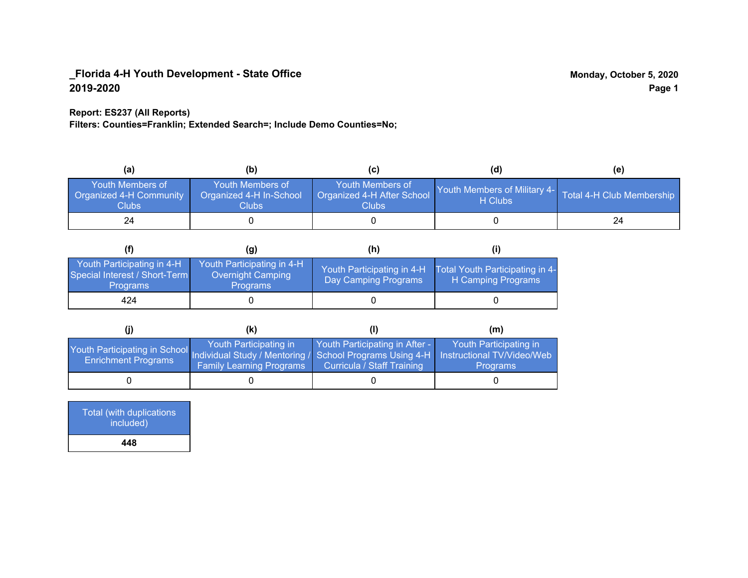## **Report: ES237 (All Reports)**

**Filters: Counties=Franklin; Extended Search=; Include Demo Counties=No;**

| (a)                                                         | (b)                                                  |                                                           | (d)                                                               | (e) |
|-------------------------------------------------------------|------------------------------------------------------|-----------------------------------------------------------|-------------------------------------------------------------------|-----|
| <b>Youth Members of</b><br>Organized 4-H Community<br>Clubs | Youth Members of<br>Organized 4-H In-School<br>Clubs | Youth Members of<br>Organized 4-H After School<br>Clubs : | Youth Members of Military 4- Total 4-H Club Membership<br>H Clubs |     |
| 24                                                          |                                                      |                                                           |                                                                   | 24  |

|                                                                                | (g)                                                                       | (h)                                                 |                                                       |
|--------------------------------------------------------------------------------|---------------------------------------------------------------------------|-----------------------------------------------------|-------------------------------------------------------|
| Youth Participating in 4-H<br>Special Interest / Short-Term<br><b>Programs</b> | Youth Participating in 4-H<br><b>Overnight Camping</b><br><b>Programs</b> | Youth Participating in 4-H.<br>Day Camping Programs | Total Youth Participating in 4-<br>H Camping Programs |
| 424                                                                            |                                                                           |                                                     |                                                       |

|                                                                                                                                                   | (K)                                                       |                                                                     | (m)                                       |
|---------------------------------------------------------------------------------------------------------------------------------------------------|-----------------------------------------------------------|---------------------------------------------------------------------|-------------------------------------------|
| Youth Participating in School Individual Study / Mentoring / School Programs Using 4-H   Instructional TV/Video/Web<br><b>Enrichment Programs</b> | Youth Participating in<br><b>Family Learning Programs</b> | Youth Participating in After -<br><b>Curricula / Staff Training</b> | Youth Participating in<br><b>Programs</b> |
|                                                                                                                                                   |                                                           |                                                                     |                                           |

| Total (with duplications<br>included) |  |
|---------------------------------------|--|
| 448                                   |  |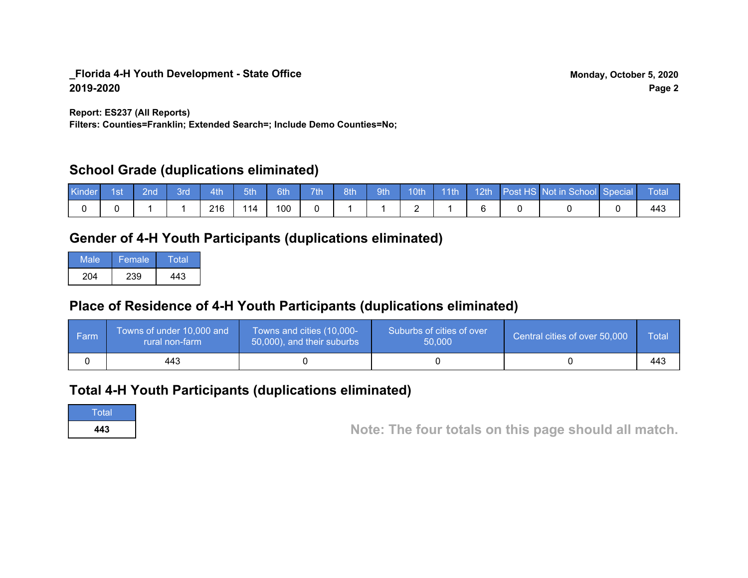**Report: ES237 (All Reports)**

**Filters: Counties=Franklin; Extended Search=; Include Demo Counties=No;**

# **School Grade (duplications eliminated)**

| Kinder 1st | l 2nd ' | 3rd | $-4th$ | 5th | 6th | 7th |  |   |  | 8th 9th 10th 11th 12th Post HS Not in School Special | N Total |
|------------|---------|-----|--------|-----|-----|-----|--|---|--|------------------------------------------------------|---------|
|            |         |     | 216    | 114 | 100 |     |  | - |  |                                                      |         |

# **Gender of 4-H Youth Participants (duplications eliminated)**

| Male | Female | Total |
|------|--------|-------|
| 204  | 239    | 443   |

# **Place of Residence of 4-H Youth Participants (duplications eliminated)**

| l Farm | Towns of under 10,000 and<br>rural non-farm | Towns and cities (10,000-<br>50,000), and their suburbs | Suburbs of cities of over<br>50,000 | Central cities of over 50,000 | Total |
|--------|---------------------------------------------|---------------------------------------------------------|-------------------------------------|-------------------------------|-------|
|        | 443                                         |                                                         |                                     |                               | 443   |

# **Total 4-H Youth Participants (duplications eliminated)**

**Total** 

**<sup>443</sup> Note: The four totals on this page should all match.**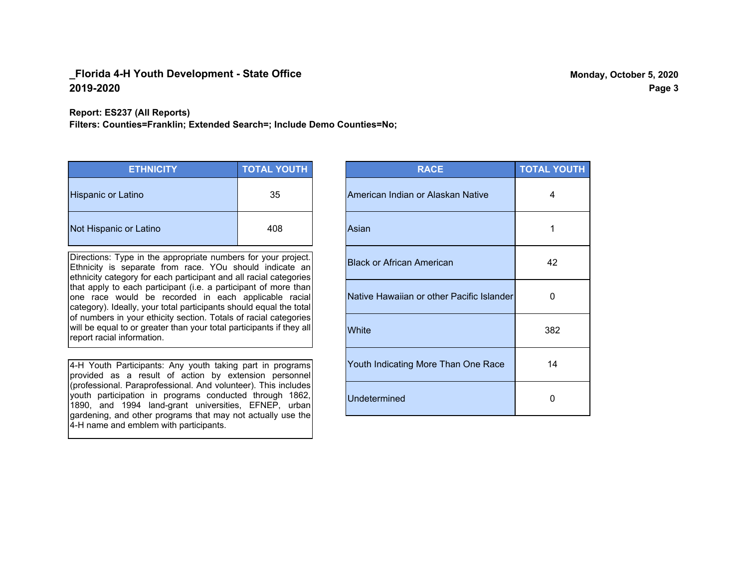#### **Report: ES237 (All Reports)**

**Filters: Counties=Franklin; Extended Search=; Include Demo Counties=No;**

| <b>ETHNICITY</b>       | <b>TOTAL YOUTH</b> |
|------------------------|--------------------|
| Hispanic or Latino     | 35                 |
| Not Hispanic or Latino | 408                |

Directions: Type in the appropriate numbers for your project. Ethnicity is separate from race. YOu should indicate an ethnicity category for each participant and all racial categories that apply to each participant (i.e. a participant of more than one race would be recorded in each applicable racial category). Ideally, your total participants should equal the total of numbers in your ethicity section. Totals of racial categories will be equal to or greater than your total participants if they all report racial information.

4-H Youth Participants: Any youth taking part in programs provided as a result of action by extension personnel (professional. Paraprofessional. And volunteer). This includes youth participation in programs conducted through 1862, 1890, and 1994 land-grant universities, EFNEP, urban gardening, and other programs that may not actually use the 4-H name and emblem with participants.

| <b>RACE</b>                               | <b>TOTAL YOUTH</b> |
|-------------------------------------------|--------------------|
| American Indian or Alaskan Native         | 4                  |
| Asian                                     | 1                  |
| <b>Black or African American</b>          | 42                 |
| Native Hawaiian or other Pacific Islander | 0                  |
| White                                     | 382                |
| Youth Indicating More Than One Race       | 14                 |
| <b>Undetermined</b>                       | 0                  |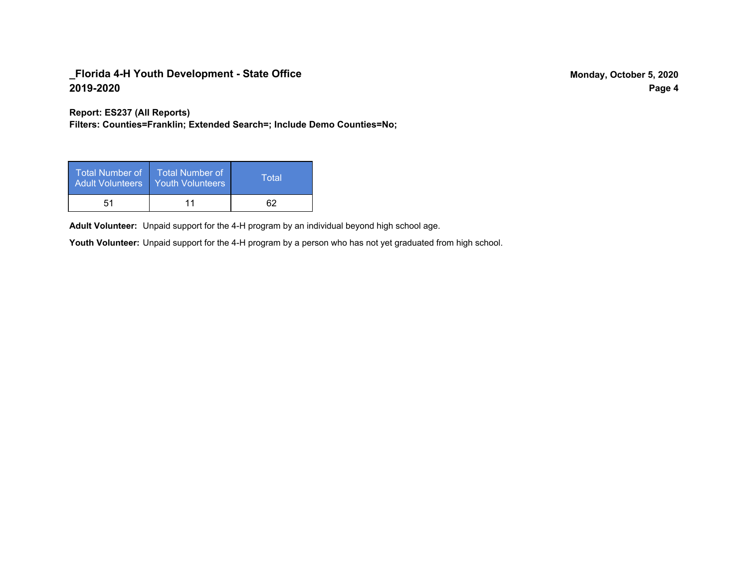**Report: ES237 (All Reports)**

**Filters: Counties=Franklin; Extended Search=; Include Demo Counties=No;**

| Total Number of<br><b>Adult Volunteers</b> | <b>Total Number of</b><br><b>Youth Volunteers</b> | Total |
|--------------------------------------------|---------------------------------------------------|-------|
| 51                                         |                                                   |       |

Adult Volunteer: Unpaid support for the 4-H program by an individual beyond high school age.

Youth Volunteer: Unpaid support for the 4-H program by a person who has not yet graduated from high school.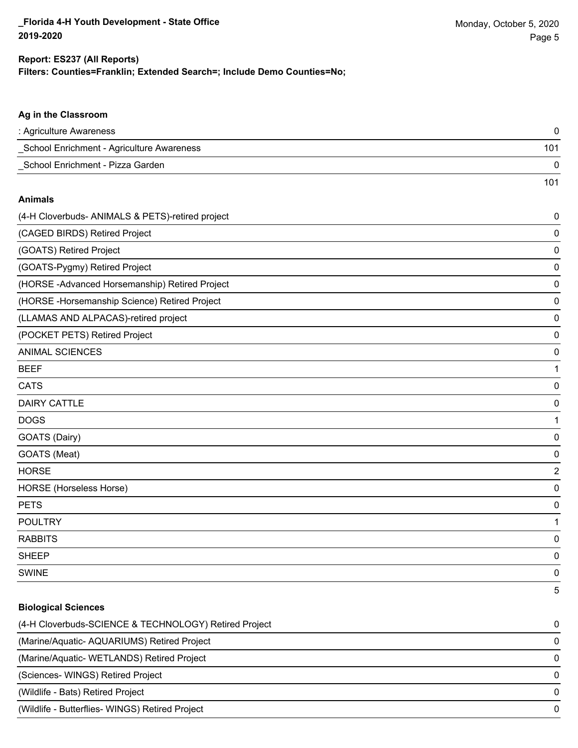101

## **Filters: Counties=Franklin; Extended Search=; Include Demo Counties=No; Report: ES237 (All Reports)**

|  |  |  | Ag in the Classroom |
|--|--|--|---------------------|
|--|--|--|---------------------|

| : Agriculture Awareness                   |     |
|-------------------------------------------|-----|
| School Enrichment - Agriculture Awareness | 101 |
| School Enrichment - Pizza Garden          |     |

#### **Animals**

| (4-H Cloverbuds- ANIMALS & PETS)-retired project | $\pmb{0}$      |
|--------------------------------------------------|----------------|
| (CAGED BIRDS) Retired Project                    | 0              |
| (GOATS) Retired Project                          | 0              |
| (GOATS-Pygmy) Retired Project                    | 0              |
| (HORSE-Advanced Horsemanship) Retired Project    | 0              |
| (HORSE - Horsemanship Science) Retired Project   | 0              |
| (LLAMAS AND ALPACAS)-retired project             | 0              |
| (POCKET PETS) Retired Project                    | 0              |
| <b>ANIMAL SCIENCES</b>                           | 0              |
| <b>BEEF</b>                                      | 1              |
| <b>CATS</b>                                      | 0              |
| <b>DAIRY CATTLE</b>                              | 0              |
| <b>DOGS</b>                                      | 1              |
| GOATS (Dairy)                                    | 0              |
| GOATS (Meat)                                     | 0              |
| <b>HORSE</b>                                     | $\overline{2}$ |
| HORSE (Horseless Horse)                          | 0              |
| <b>PETS</b>                                      | 0              |
| <b>POULTRY</b>                                   | 1              |
| <b>RABBITS</b>                                   | 0              |
| <b>SHEEP</b>                                     | 0              |
| <b>SWINE</b>                                     | 0              |
|                                                  | 5              |

#### **Biological Sciences**

| (4-H Cloverbuds-SCIENCE & TECHNOLOGY) Retired Project | $\Omega$ |
|-------------------------------------------------------|----------|
| (Marine/Aquatic-AQUARIUMS) Retired Project            | $\Omega$ |
| (Marine/Aquatic-WETLANDS) Retired Project             | $\Omega$ |
| (Sciences-WINGS) Retired Project                      | $\Omega$ |
| (Wildlife - Bats) Retired Project                     | $\Omega$ |
| (Wildlife - Butterflies- WINGS) Retired Project       | $\Omega$ |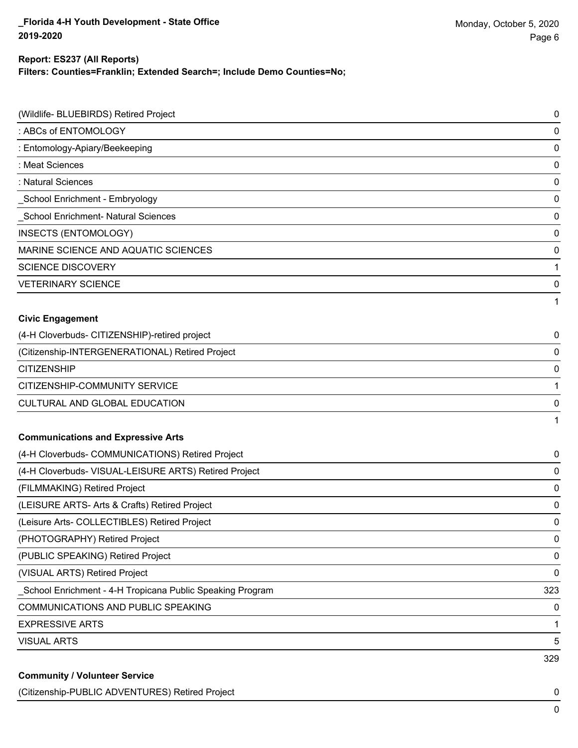**Filters: Counties=Franklin; Extended Search=; Include Demo Counties=No;**

| (Wildlife- BLUEBIRDS) Retired Project                     | 0            |
|-----------------------------------------------------------|--------------|
| : ABCs of ENTOMOLOGY                                      | 0            |
| : Entomology-Apiary/Beekeeping                            | 0            |
| : Meat Sciences                                           | 0            |
| : Natural Sciences                                        | 0            |
| School Enrichment - Embryology                            | 0            |
| <b>School Enrichment- Natural Sciences</b>                | 0            |
| INSECTS (ENTOMOLOGY)                                      | 0            |
| MARINE SCIENCE AND AQUATIC SCIENCES                       | 0            |
| <b>SCIENCE DISCOVERY</b>                                  | 1            |
| <b>VETERINARY SCIENCE</b>                                 | 0            |
|                                                           | 1            |
| <b>Civic Engagement</b>                                   |              |
| (4-H Cloverbuds- CITIZENSHIP)-retired project             | 0            |
| (Citizenship-INTERGENERATIONAL) Retired Project           | 0            |
| <b>CITIZENSHIP</b>                                        | 0            |
| CITIZENSHIP-COMMUNITY SERVICE                             | 1            |
| CULTURAL AND GLOBAL EDUCATION                             | 0            |
|                                                           | $\mathbf{1}$ |
| <b>Communications and Expressive Arts</b>                 |              |
| (4-H Cloverbuds- COMMUNICATIONS) Retired Project          | 0            |
| (4-H Cloverbuds- VISUAL-LEISURE ARTS) Retired Project     | 0            |
| (FILMMAKING) Retired Project                              | 0            |
| (LEISURE ARTS- Arts & Crafts) Retired Project             | 0            |
| (Leisure Arts- COLLECTIBLES) Retired Project              | 0            |
| (PHOTOGRAPHY) Retired Project                             | 0            |
| (PUBLIC SPEAKING) Retired Project                         | 0            |
| (VISUAL ARTS) Retired Project                             | $\pmb{0}$    |
| School Enrichment - 4-H Tropicana Public Speaking Program | 323          |
| COMMUNICATIONS AND PUBLIC SPEAKING                        | 0            |
| <b>EXPRESSIVE ARTS</b>                                    | 1            |
| <b>VISUAL ARTS</b>                                        | 5            |
|                                                           | 329          |
| <b>Community / Volunteer Service</b>                      |              |

(Citizenship-PUBLIC ADVENTURES) Retired Project 0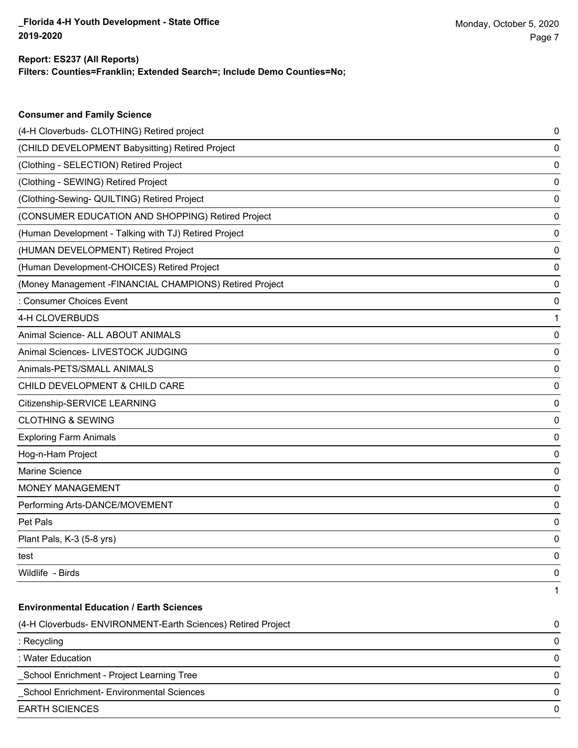**Filters: Counties=Franklin; Extended Search=; Include Demo Counties=No;**

| <b>Consumer and Family Science</b>                           |   |
|--------------------------------------------------------------|---|
| (4-H Cloverbuds- CLOTHING) Retired project                   | 0 |
| (CHILD DEVELOPMENT Babysitting) Retired Project              | 0 |
| (Clothing - SELECTION) Retired Project                       | 0 |
| (Clothing - SEWING) Retired Project                          | 0 |
| (Clothing-Sewing- QUILTING) Retired Project                  | 0 |
| (CONSUMER EDUCATION AND SHOPPING) Retired Project            | 0 |
| (Human Development - Talking with TJ) Retired Project        | 0 |
| (HUMAN DEVELOPMENT) Retired Project                          | 0 |
| (Human Development-CHOICES) Retired Project                  | 0 |
| (Money Management - FINANCIAL CHAMPIONS) Retired Project     | 0 |
| : Consumer Choices Event                                     | 0 |
| 4-H CLOVERBUDS                                               | 1 |
| Animal Science- ALL ABOUT ANIMALS                            | 0 |
| Animal Sciences- LIVESTOCK JUDGING                           | 0 |
| Animals-PETS/SMALL ANIMALS                                   | 0 |
| CHILD DEVELOPMENT & CHILD CARE                               | 0 |
| Citizenship-SERVICE LEARNING                                 | 0 |
| <b>CLOTHING &amp; SEWING</b>                                 | 0 |
| <b>Exploring Farm Animals</b>                                | 0 |
| Hog-n-Ham Project                                            | 0 |
| Marine Science                                               | 0 |
| <b>MONEY MANAGEMENT</b>                                      | 0 |
| Performing Arts-DANCE/MOVEMENT                               | 0 |
| Pet Pals                                                     | 0 |
| Plant Pals, K-3 (5-8 yrs)                                    | 0 |
| test                                                         | 0 |
| Wildlife - Birds                                             | 0 |
|                                                              | 1 |
| <b>Environmental Education / Earth Sciences</b>              |   |
| (4-H Cloverbuds- ENVIRONMENT-Earth Sciences) Retired Project | 0 |
| : Recycling                                                  | 0 |
| : Water Education                                            | 0 |
| School Enrichment - Project Learning Tree                    | 0 |
| School Enrichment- Environmental Sciences                    | 0 |
| <b>EARTH SCIENCES</b>                                        | 0 |
|                                                              |   |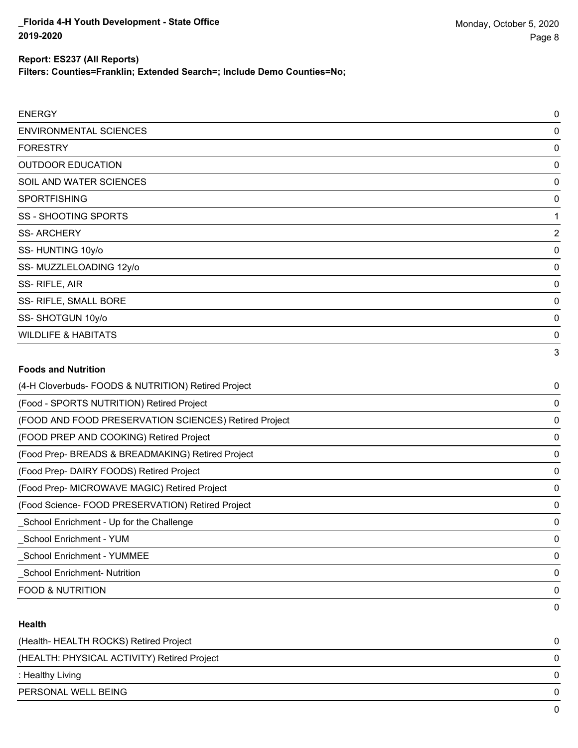**Filters: Counties=Franklin; Extended Search=; Include Demo Counties=No;**

| <b>ENERGY</b>                                         | $\mathbf 0$    |
|-------------------------------------------------------|----------------|
| <b>ENVIRONMENTAL SCIENCES</b>                         | 0              |
| <b>FORESTRY</b>                                       | 0              |
| <b>OUTDOOR EDUCATION</b>                              | 0              |
| SOIL AND WATER SCIENCES                               | 0              |
| <b>SPORTFISHING</b>                                   | 0              |
| <b>SS-SHOOTING SPORTS</b>                             | 1              |
| <b>SS-ARCHERY</b>                                     | $\overline{2}$ |
| SS-HUNTING 10y/o                                      | 0              |
| SS-MUZZLELOADING 12y/o                                | 0              |
| SS-RIFLE, AIR                                         | 0              |
| SS- RIFLE, SMALL BORE                                 | 0              |
| SS-SHOTGUN 10y/o                                      | 0              |
| <b>WILDLIFE &amp; HABITATS</b>                        | 0              |
|                                                       | 3              |
| <b>Foods and Nutrition</b>                            |                |
| (4-H Cloverbuds- FOODS & NUTRITION) Retired Project   | 0              |
| (Food - SPORTS NUTRITION) Retired Project             | 0              |
| (FOOD AND FOOD PRESERVATION SCIENCES) Retired Project | 0              |
| (FOOD PREP AND COOKING) Retired Project               | 0              |
| (Food Prep- BREADS & BREADMAKING) Retired Project     | 0              |
|                                                       |                |

(Food Prep- DAIRY FOODS) Retired Project 0

(Food Prep- MICROWAVE MAGIC) Retired Project 0

(Food Science- FOOD PRESERVATION) Retired Project 0 \_School Enrichment - Up for the Challenge 0

\_School Enrichment - YUM 0 \_School Enrichment - YUMMEE 0

\_School Enrichment- Nutrition 0

FOOD & NUTRITION 0

#### **Health**

| (Health-HEALTH ROCKS) Retired Project       |  |
|---------------------------------------------|--|
| (HEALTH: PHYSICAL ACTIVITY) Retired Project |  |
| : Healthy Living                            |  |
| PERSONAL WELL BEING                         |  |
|                                             |  |

0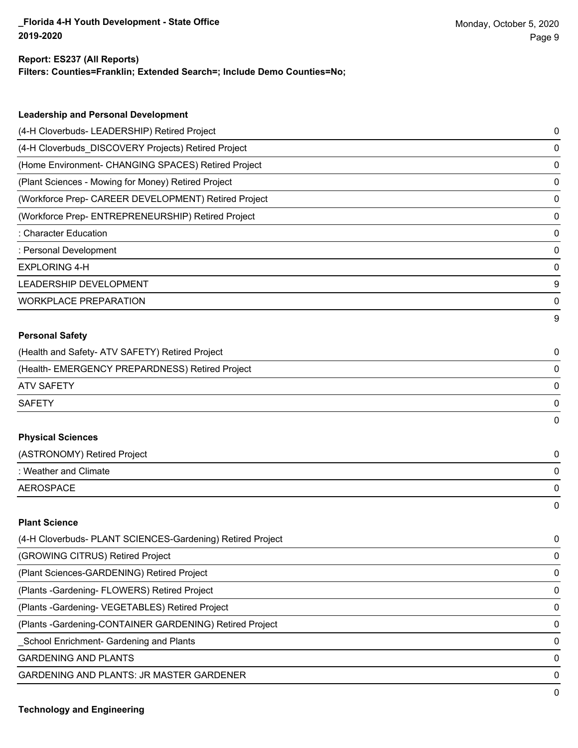**Filters: Counties=Franklin; Extended Search=; Include Demo Counties=No;**

| <b>Leadership and Personal Development</b>                 |          |
|------------------------------------------------------------|----------|
| (4-H Cloverbuds- LEADERSHIP) Retired Project               | 0        |
| (4-H Cloverbuds_DISCOVERY Projects) Retired Project        | 0        |
|                                                            |          |
| (Home Environment- CHANGING SPACES) Retired Project        | 0        |
| (Plant Sciences - Mowing for Money) Retired Project        | 0        |
| (Workforce Prep- CAREER DEVELOPMENT) Retired Project       | 0        |
| (Workforce Prep- ENTREPRENEURSHIP) Retired Project         | 0        |
| : Character Education                                      | 0        |
| : Personal Development                                     | 0        |
| <b>EXPLORING 4-H</b>                                       | 0        |
| <b>LEADERSHIP DEVELOPMENT</b>                              | 9        |
| <b>WORKPLACE PREPARATION</b>                               | 0        |
|                                                            | 9        |
| <b>Personal Safety</b>                                     |          |
| (Health and Safety- ATV SAFETY) Retired Project            | 0        |
| (Health- EMERGENCY PREPARDNESS) Retired Project            | 0        |
| <b>ATV SAFETY</b>                                          | 0        |
| <b>SAFETY</b>                                              | 0        |
|                                                            | 0        |
| <b>Physical Sciences</b>                                   |          |
| (ASTRONOMY) Retired Project                                | 0        |
| : Weather and Climate                                      | 0        |
| <b>AEROSPACE</b>                                           | 0        |
|                                                            | $\Omega$ |
| <b>Plant Science</b>                                       |          |
| (4-H Cloverbuds- PLANT SCIENCES-Gardening) Retired Project | 0        |

| (GROWING CITRUS) Retired Project                         | 0            |
|----------------------------------------------------------|--------------|
| (Plant Sciences-GARDENING) Retired Project               | $\Omega$     |
| (Plants - Gardening - FLOWERS) Retired Project           | $\Omega$     |
| (Plants - Gardening - VEGETABLES) Retired Project        | 0            |
| (Plants - Gardening-CONTAINER GARDENING) Retired Project | $\Omega$     |
| _School Enrichment- Gardening and Plants                 | <sup>0</sup> |
| <b>GARDENING AND PLANTS</b>                              | 0            |
| GARDENING AND PLANTS: JR MASTER GARDENER                 | <sup>0</sup> |
|                                                          | 0            |